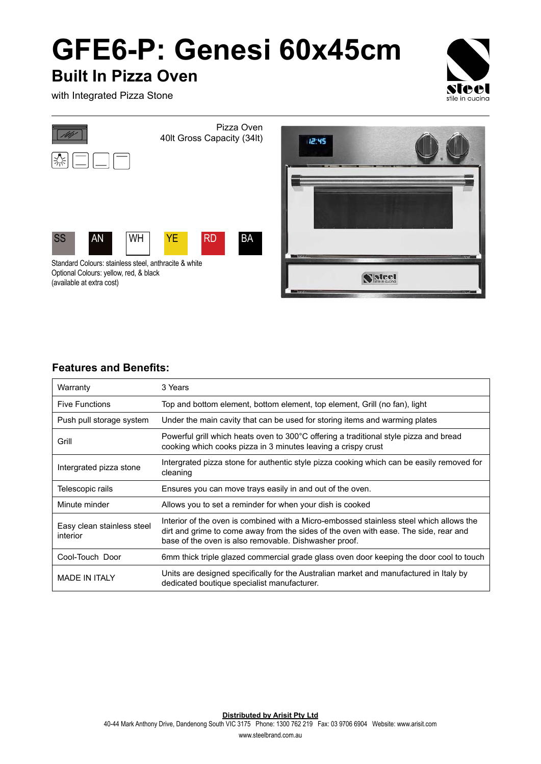## **GFE6-P: Genesi 60x45cm**

## **Built In Pizza Oven**

**Teal** stile in cucina

with Integrated Pizza Stone





## **Features and Benefits:**

| Warranty                               | 3 Years                                                                                                                                                                                                                                  |
|----------------------------------------|------------------------------------------------------------------------------------------------------------------------------------------------------------------------------------------------------------------------------------------|
| <b>Five Functions</b>                  | Top and bottom element, bottom element, top element, Grill (no fan), light                                                                                                                                                               |
| Push pull storage system               | Under the main cavity that can be used for storing items and warming plates                                                                                                                                                              |
| Grill                                  | Powerful grill which heats oven to 300°C offering a traditional style pizza and bread<br>cooking which cooks pizza in 3 minutes leaving a crispy crust                                                                                   |
| Intergrated pizza stone                | Intergrated pizza stone for authentic style pizza cooking which can be easily removed for<br>cleaning                                                                                                                                    |
| Telescopic rails                       | Ensures you can move trays easily in and out of the oven.                                                                                                                                                                                |
| Minute minder                          | Allows you to set a reminder for when your dish is cooked                                                                                                                                                                                |
| Easy clean stainless steel<br>interior | Interior of the oven is combined with a Micro-embossed stainless steel which allows the<br>dirt and grime to come away from the sides of the oven with ease. The side, rear and<br>base of the oven is also removable. Dishwasher proof. |
| Cool-Touch Door                        | 6mm thick triple glazed commercial grade glass oven door keeping the door cool to touch                                                                                                                                                  |
| <b>MADE IN ITALY</b>                   | Units are designed specifically for the Australian market and manufactured in Italy by<br>dedicated boutique specialist manufacturer.                                                                                                    |